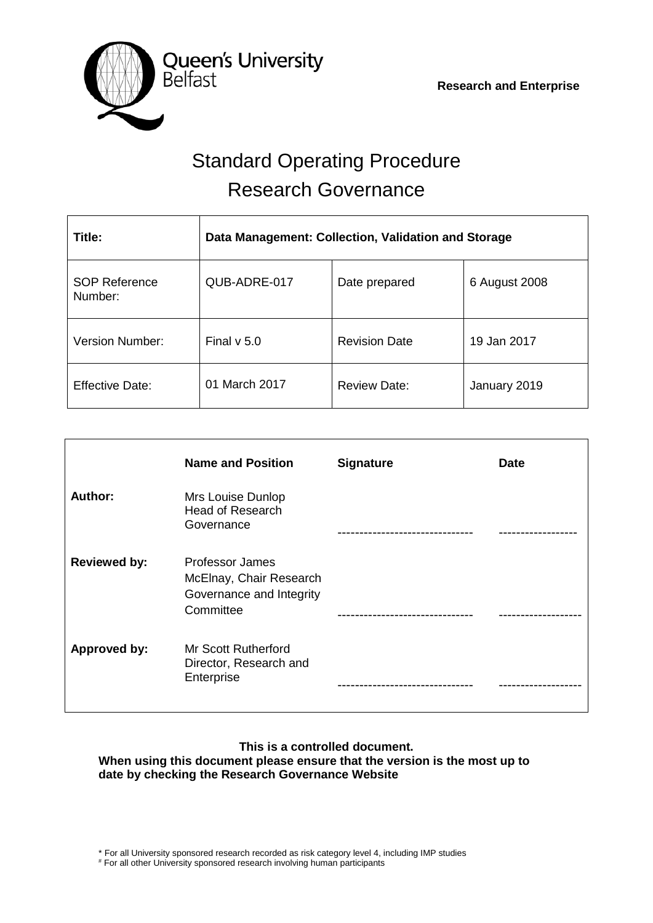

# Standard Operating Procedure Research Governance

| Title:                          | Data Management: Collection, Validation and Storage |                      |               |
|---------------------------------|-----------------------------------------------------|----------------------|---------------|
| <b>SOP Reference</b><br>Number: | QUB-ADRE-017                                        | Date prepared        | 6 August 2008 |
| <b>Version Number:</b>          | Final $v$ 5.0                                       | <b>Revision Date</b> | 19 Jan 2017   |
| <b>Effective Date:</b>          | 01 March 2017                                       | <b>Review Date:</b>  | January 2019  |

|                     | <b>Name and Position</b>                                                                   | <b>Signature</b> | <b>Date</b> |
|---------------------|--------------------------------------------------------------------------------------------|------------------|-------------|
| Author:             | Mrs Louise Dunlop<br><b>Head of Research</b><br>Governance                                 |                  |             |
| <b>Reviewed by:</b> | <b>Professor James</b><br>McElnay, Chair Research<br>Governance and Integrity<br>Committee |                  |             |
| Approved by:        | Mr Scott Rutherford<br>Director, Research and<br>Enterprise                                |                  |             |

# **This is a controlled document.**

**When using this document please ensure that the version is the most up to date by checking the Research Governance Website**

# For all other University sponsored research involving human participants

<sup>\*</sup> For all University sponsored research recorded as risk category level 4, including IMP studies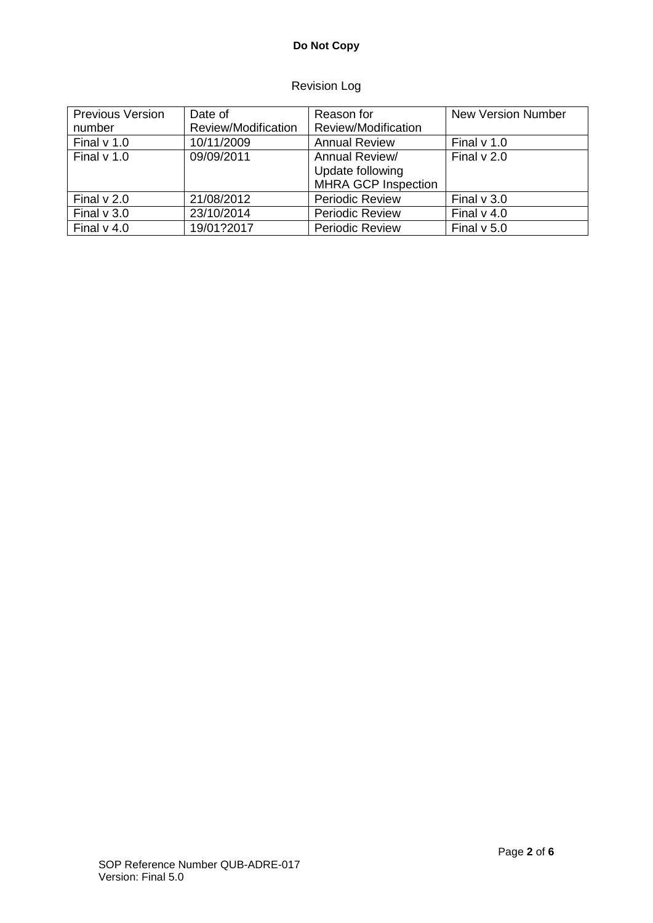## **Do Not Copy**

## Revision Log

| <b>Previous Version</b><br>number | Date of<br>Review/Modification | Reason for<br>Review/Modification                                | <b>New Version Number</b> |
|-----------------------------------|--------------------------------|------------------------------------------------------------------|---------------------------|
|                                   |                                |                                                                  |                           |
| Final $v$ 1.0                     | 10/11/2009                     | <b>Annual Review</b>                                             | Final $v$ 1.0             |
| Final $v$ 1.0                     | 09/09/2011                     | Annual Review/<br>Update following<br><b>MHRA GCP Inspection</b> | Final $v$ 2.0             |
| Final $v$ 2.0                     | 21/08/2012                     | <b>Periodic Review</b>                                           | Final $v$ 3.0             |
| Final $v$ 3.0                     | 23/10/2014                     | <b>Periodic Review</b>                                           | Final $v$ 4.0             |
| Final $v$ 4.0                     | 19/01?2017                     | <b>Periodic Review</b>                                           | Final $v$ 5.0             |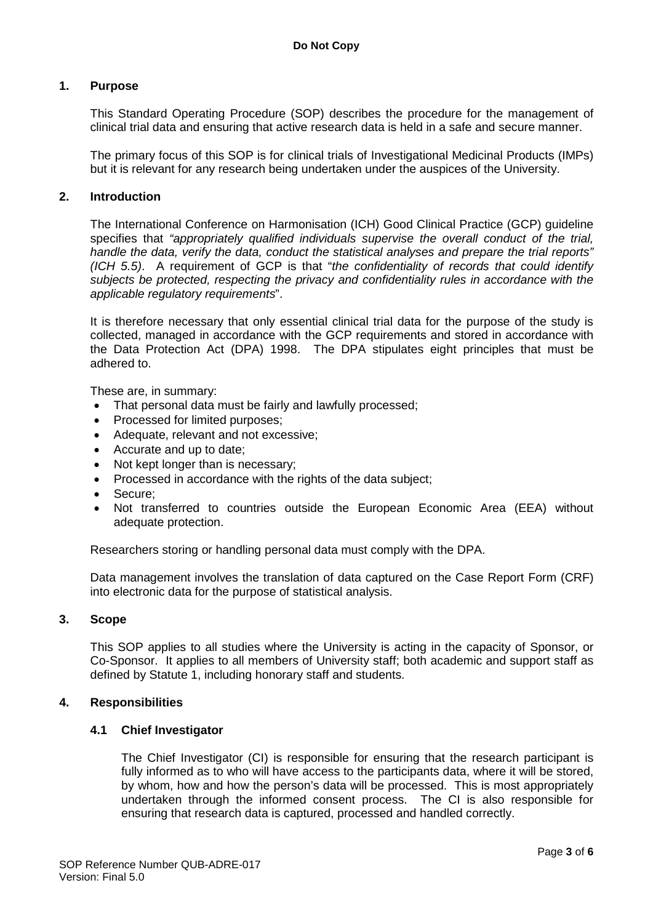#### **1. Purpose**

This Standard Operating Procedure (SOP) describes the procedure for the management of clinical trial data and ensuring that active research data is held in a safe and secure manner.

The primary focus of this SOP is for clinical trials of Investigational Medicinal Products (IMPs) but it is relevant for any research being undertaken under the auspices of the University.

#### **2. Introduction**

The International Conference on Harmonisation (ICH) Good Clinical Practice (GCP) guideline specifies that *"appropriately qualified individuals supervise the overall conduct of the trial, handle the data, verify the data, conduct the statistical analyses and prepare the trial reports" (ICH 5.5)*. A requirement of GCP is that "*the confidentiality of records that could identify subjects be protected, respecting the privacy and confidentiality rules in accordance with the applicable regulatory requirements*".

It is therefore necessary that only essential clinical trial data for the purpose of the study is collected, managed in accordance with the GCP requirements and stored in accordance with the Data Protection Act (DPA) 1998. The DPA stipulates eight principles that must be adhered to.

These are, in summary:

- That personal data must be fairly and lawfully processed;
- Processed for limited purposes;
- Adequate, relevant and not excessive;
- Accurate and up to date;
- Not kept longer than is necessary;
- Processed in accordance with the rights of the data subject;
- Secure;
- Not transferred to countries outside the European Economic Area (EEA) without adequate protection.

Researchers storing or handling personal data must comply with the DPA.

Data management involves the translation of data captured on the Case Report Form (CRF) into electronic data for the purpose of statistical analysis.

#### **3. Scope**

This SOP applies to all studies where the University is acting in the capacity of Sponsor, or Co-Sponsor. It applies to all members of University staff; both academic and support staff as defined by Statute 1, including honorary staff and students.

#### **4. Responsibilities**

#### **4.1 Chief Investigator**

The Chief Investigator (CI) is responsible for ensuring that the research participant is fully informed as to who will have access to the participants data, where it will be stored, by whom, how and how the person's data will be processed. This is most appropriately undertaken through the informed consent process. The CI is also responsible for ensuring that research data is captured, processed and handled correctly.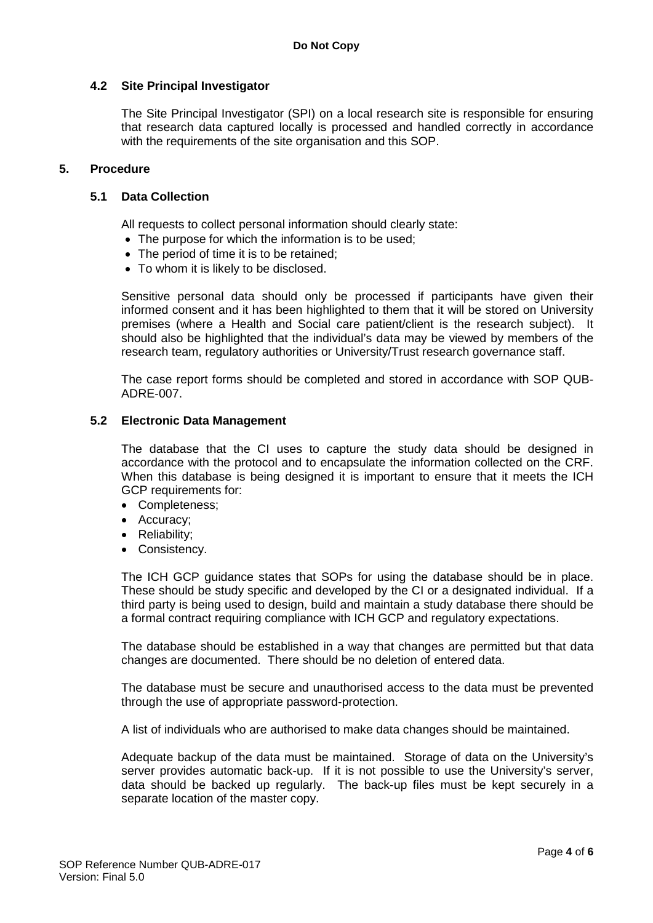#### **4.2 Site Principal Investigator**

The Site Principal Investigator (SPI) on a local research site is responsible for ensuring that research data captured locally is processed and handled correctly in accordance with the requirements of the site organisation and this SOP.

#### **5. Procedure**

#### **5.1 Data Collection**

All requests to collect personal information should clearly state:

- The purpose for which the information is to be used;
- The period of time it is to be retained;
- To whom it is likely to be disclosed.

Sensitive personal data should only be processed if participants have given their informed consent and it has been highlighted to them that it will be stored on University premises (where a Health and Social care patient/client is the research subject). It should also be highlighted that the individual's data may be viewed by members of the research team, regulatory authorities or University/Trust research governance staff.

The case report forms should be completed and stored in accordance with SOP QUB-ADRE-007.

#### **5.2 Electronic Data Management**

The database that the CI uses to capture the study data should be designed in accordance with the protocol and to encapsulate the information collected on the CRF. When this database is being designed it is important to ensure that it meets the ICH GCP requirements for:

- Completeness;
- Accuracy;
- Reliability;
- Consistency.

The ICH GCP guidance states that SOPs for using the database should be in place. These should be study specific and developed by the CI or a designated individual. If a third party is being used to design, build and maintain a study database there should be a formal contract requiring compliance with ICH GCP and regulatory expectations.

The database should be established in a way that changes are permitted but that data changes are documented. There should be no deletion of entered data.

The database must be secure and unauthorised access to the data must be prevented through the use of appropriate password-protection.

A list of individuals who are authorised to make data changes should be maintained.

Adequate backup of the data must be maintained. Storage of data on the University's server provides automatic back-up. If it is not possible to use the University's server, data should be backed up regularly. The back-up files must be kept securely in a separate location of the master copy.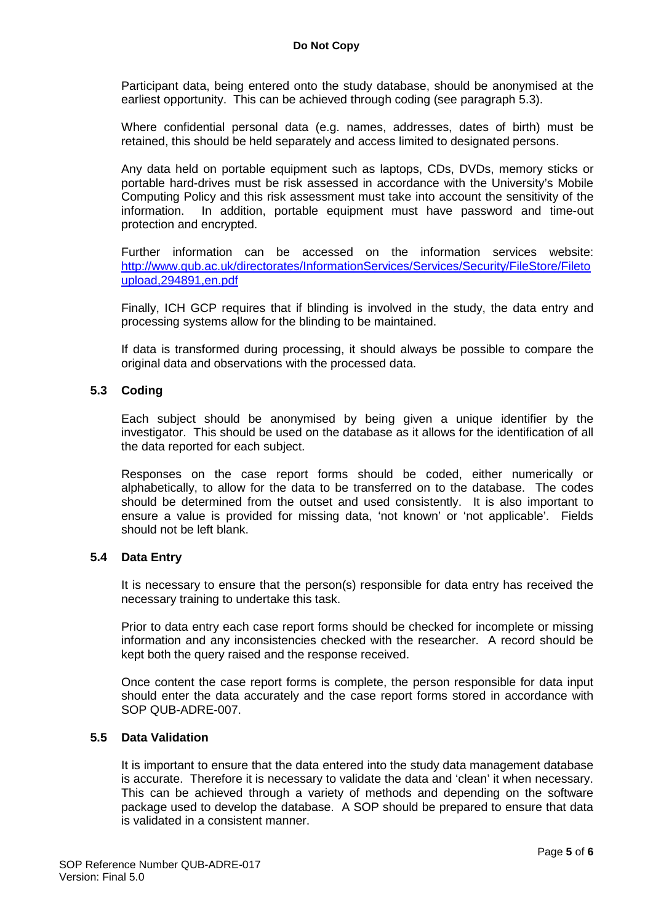Participant data, being entered onto the study database, should be anonymised at the earliest opportunity. This can be achieved through coding (see paragraph 5.3).

Where confidential personal data (e.g. names, addresses, dates of birth) must be retained, this should be held separately and access limited to designated persons.

Any data held on portable equipment such as laptops, CDs, DVDs, memory sticks or portable hard-drives must be risk assessed in accordance with the University's Mobile Computing Policy and this risk assessment must take into account the sensitivity of the information. In addition, portable equipment must have password and time-out protection and encrypted.

Further information can be accessed on the information services website: [http://www.qub.ac.uk/directorates/InformationServices/Services/Security/FileStore/Fileto](http://www.qub.ac.uk/directorates/InformationServices/Services/Security/FileStore/Filetoupload,294891,en.pdf) [upload,294891,en.pdf](http://www.qub.ac.uk/directorates/InformationServices/Services/Security/FileStore/Filetoupload,294891,en.pdf)

Finally, ICH GCP requires that if blinding is involved in the study, the data entry and processing systems allow for the blinding to be maintained.

If data is transformed during processing, it should always be possible to compare the original data and observations with the processed data.

#### **5.3 Coding**

Each subject should be anonymised by being given a unique identifier by the investigator. This should be used on the database as it allows for the identification of all the data reported for each subject.

Responses on the case report forms should be coded, either numerically or alphabetically, to allow for the data to be transferred on to the database. The codes should be determined from the outset and used consistently. It is also important to ensure a value is provided for missing data, 'not known' or 'not applicable'. Fields should not be left blank.

#### **5.4 Data Entry**

It is necessary to ensure that the person(s) responsible for data entry has received the necessary training to undertake this task.

Prior to data entry each case report forms should be checked for incomplete or missing information and any inconsistencies checked with the researcher. A record should be kept both the query raised and the response received.

Once content the case report forms is complete, the person responsible for data input should enter the data accurately and the case report forms stored in accordance with SOP QUB-ADRE-007.

#### **5.5 Data Validation**

It is important to ensure that the data entered into the study data management database is accurate. Therefore it is necessary to validate the data and 'clean' it when necessary. This can be achieved through a variety of methods and depending on the software package used to develop the database. A SOP should be prepared to ensure that data is validated in a consistent manner.